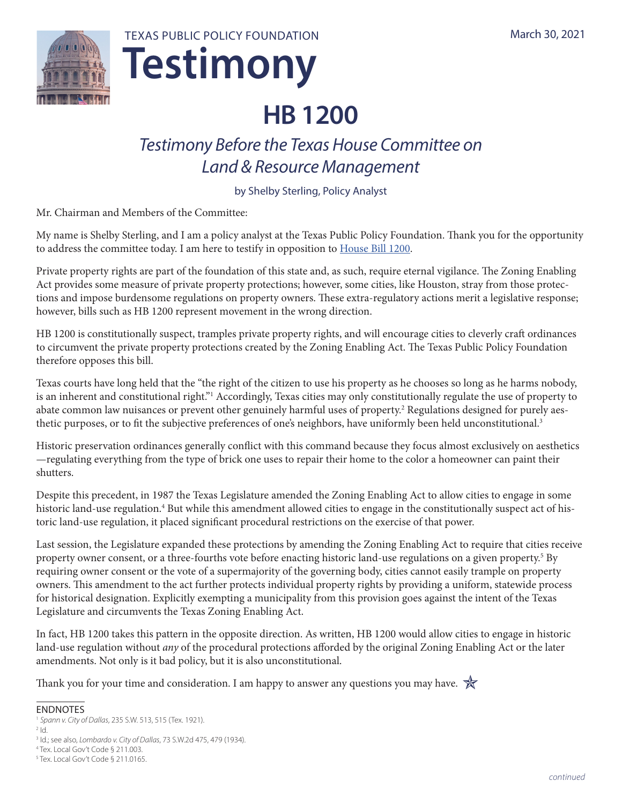

**Testimony** TEXAS PUBLIC POLICY FOUNDATION

# **HB 1200**

# *Testimony Before the Texas House Committee on Land & Resource Management*

by Shelby Sterling, Policy Analyst

Mr. Chairman and Members of the Committee:

My name is Shelby Sterling, and I am a policy analyst at the Texas Public Policy Foundation. Thank you for the opportunity to address the committee today. I am here to testify in opposition to [House Bill 1200.](https://capitol.texas.gov/BillLookup/Text.aspx?LegSess=87R&Bill=HB1200)

Private property rights are part of the foundation of this state and, as such, require eternal vigilance. The Zoning Enabling Act provides some measure of private property protections; however, some cities, like Houston, stray from those protections and impose burdensome regulations on property owners. These extra-regulatory actions merit a legislative response; however, bills such as HB 1200 represent movement in the wrong direction.

HB 1200 is constitutionally suspect, tramples private property rights, and will encourage cities to cleverly craft ordinances to circumvent the private property protections created by the Zoning Enabling Act. The Texas Public Policy Foundation therefore opposes this bill.

Texas courts have long held that the "the right of the citizen to use his property as he chooses so long as he harms nobody, is an inherent and constitutional right."<sup>1</sup> Accordingly, Texas cities may only constitutionally regulate the use of property to abate common law nuisances or prevent other genuinely harmful uses of property.<sup>2</sup> Regulations designed for purely aesthetic purposes, or to fit the subjective preferences of one's neighbors, have uniformly been held unconstitutional.<sup>3</sup>

Historic preservation ordinances generally conflict with this command because they focus almost exclusively on aesthetics —regulating everything from the type of brick one uses to repair their home to the color a homeowner can paint their shutters.

Despite this precedent, in 1987 the Texas Legislature amended the Zoning Enabling Act to allow cities to engage in some historic land-use regulation.<sup>4</sup> But while this amendment allowed cities to engage in the constitutionally suspect act of historic land-use regulation, it placed significant procedural restrictions on the exercise of that power.

Last session, the Legislature expanded these protections by amending the Zoning Enabling Act to require that cities receive property owner consent, or a three-fourths vote before enacting historic land-use regulations on a given property.<sup>5</sup> By requiring owner consent or the vote of a supermajority of the governing body, cities cannot easily trample on property owners. This amendment to the act further protects individual property rights by providing a uniform, statewide process for historical designation. Explicitly exempting a municipality from this provision goes against the intent of the Texas Legislature and circumvents the Texas Zoning Enabling Act.

In fact, HB 1200 takes this pattern in the opposite direction. As written, HB 1200 would allow cities to engage in historic land-use regulation without *any* of the procedural protections afforded by the original Zoning Enabling Act or the later amendments. Not only is it bad policy, but it is also unconstitutional.

Thank you for your time and consideration. I am happy to answer any questions you may have.  $\mathbb{\hat{R}}$ 

#### ENDNOTES

<sup>1</sup> *Spann v. City of Dallas*, 235 S.W. 513, 515 (Tex. 1921).  $2$   $\mathsf{Id}$ .

4 Tex. Local Gov't Code § 211.003.

<sup>3</sup> Id.; see also, *Lombardo v. City of Dallas*, 73 S.W.2d 475, 479 (1934).

<sup>5</sup> Tex. Local Gov't Code § 211.0165.